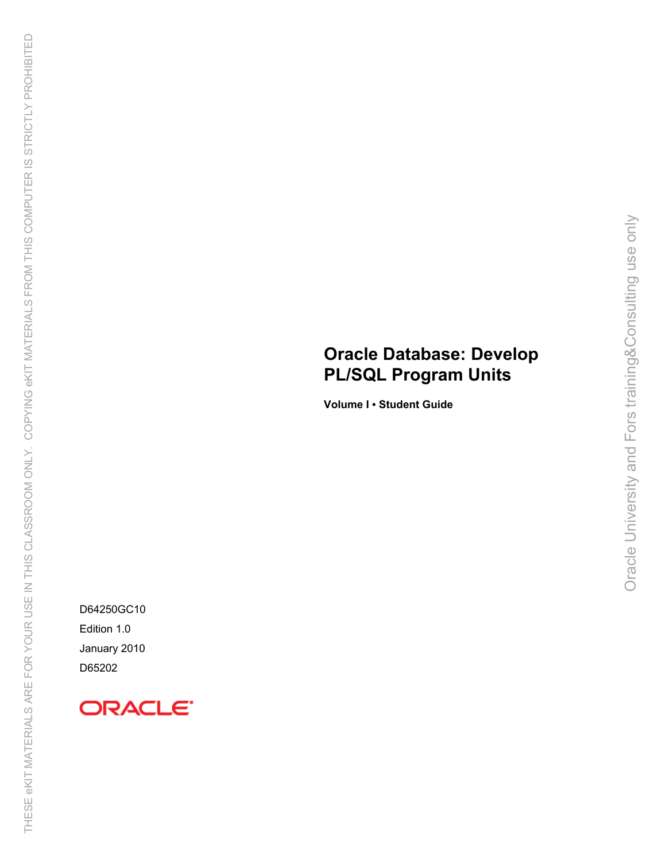# **Oracle Database: Develop PL/SQL Program Units**

Oracle University and Fors training&Consulting use only

Oracle University and Fors training&Consulting use only

**Volume I • Student Guide**

D64250GC10 Edition 1.0 January 2010 D65202

# ORACLE<sup>®</sup>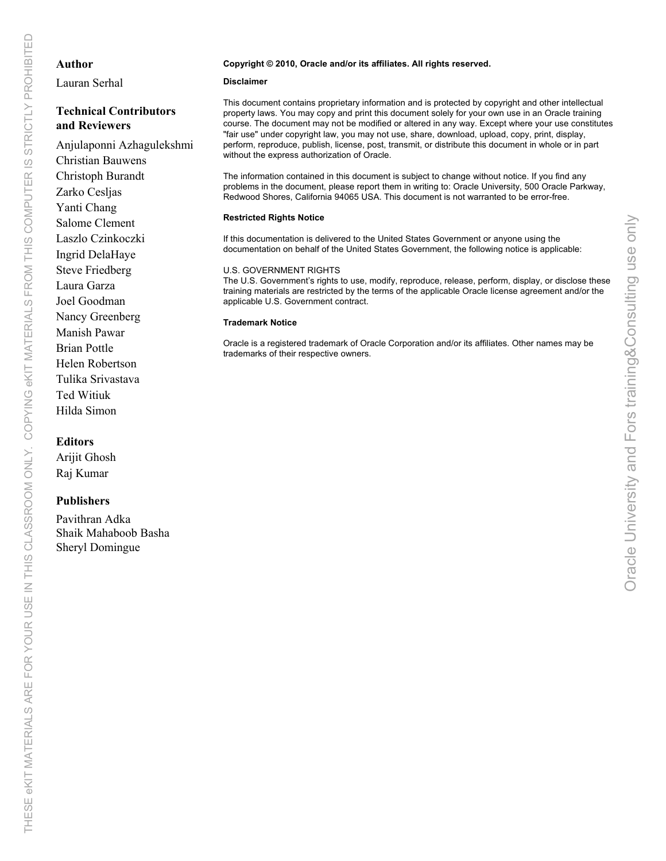### **Author**

Lauran Serhal

# **Technical Contributors and Reviewers**

# Anjulaponni Azhagulekshmi Christian Bauwens Christoph Burandt Zarko Cesljas Yanti Chang Salome Clement Laszlo Czinkoczki Ingrid DelaHaye Steve Friedberg Laura Garza Joel Goodman Nancy Greenberg Manish Pawar Brian Pottle Helen Robertson Tulika Srivastava Ted Witiuk Hilda Simon

# **Editors**

Arijit Ghosh Raj Kumar

# **Publishers**

Pavithran Adka Shaik Mahaboob Basha Sheryl Domingue

#### **Copyright © 2010, Oracle and/or its affiliates. All rights reserved.**

#### **Disclaimer**

This document contains proprietary information and is protected by copyright and other intellectual property laws. You may copy and print this document solely for your own use in an Oracle training course. The document may not be modified or altered in any way. Except where your use constitutes "fair use" under copyright law, you may not use, share, download, upload, copy, print, display, perform, reproduce, publish, license, post, transmit, or distribute this document in whole or in part without the express authorization of Oracle.

The information contained in this document is subject to change without notice. If you find any problems in the document, please report them in writing to: Oracle University, 500 Oracle Parkway, Redwood Shores, California 94065 USA. This document is not warranted to be error-free.

#### **Restricted Rights Notice**

If this documentation is delivered to the United States Government or anyone using the documentation on behalf of the United States Government, the following notice is applicable:

#### U.S. GOVERNMENT RIGHTS

The U.S. Government's rights to use, modify, reproduce, release, perform, display, or disclose these training materials are restricted by the terms of the applicable Oracle license agreement and/or the applicable U.S. Government contract.

#### **Trademark Notice**

Oracle is a registered trademark of Oracle Corporation and/or its affiliates. Other names may be trademarks of their respective owners.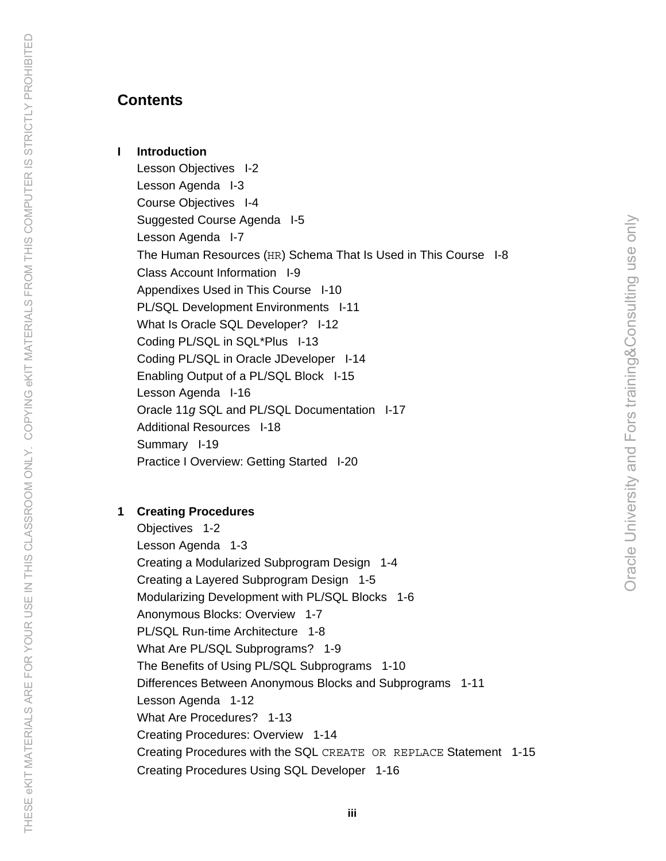**I Introduction** 

Lesson Objectives I-2 Lesson Agenda I-3 Course Objectives I-4 Suggested Course Agenda I-5 Lesson Agenda I-7 The Human Resources (HR) Schema That Is Used in This Course I-8 Class Account Information I-9 Appendixes Used in This Course I-10 PL/SQL Development Environments I-11 What Is Oracle SQL Developer? I-12 Coding PL/SQL in SQL\*Plus I-13 Coding PL/SQL in Oracle JDeveloper I-14 Enabling Output of a PL/SQL Block I-15 Lesson Agenda I-16 Oracle 11*g* SQL and PL/SQL Documentation I-17 Additional Resources I-18 Summary I-19 Practice I Overview: Getting Started I-20

# **1 Creating Procedures**

THESE eKIT MATERIALS ARE FOR YOUR USE IN THIS CLASSROOM ONLY. COPYING eKIT MATERIALS FROM THIS COMPUTER IS STRICTLY PROHIBITEDTHESE eKIT MATERIALS ARE FOR YOUR USE IN THIS CLASSROOM ONLY. COPYING eKIT MATERIALS FROM THIS COMPUTER IS STRICTLY PROHIBITED

Objectives 1-2 Lesson Agenda 1-3 Creating a Modularized Subprogram Design 1-4 Creating a Layered Subprogram Design 1-5 Modularizing Development with PL/SQL Blocks 1-6 Anonymous Blocks: Overview 1-7 PL/SQL Run-time Architecture 1-8 What Are PL/SQL Subprograms? 1-9 The Benefits of Using PL/SQL Subprograms 1-10 Differences Between Anonymous Blocks and Subprograms 1-11 Lesson Agenda 1-12 What Are Procedures? 1-13 Creating Procedures: Overview 1-14 Creating Procedures with the SQL CREATE OR REPLACE Statement 1-15 Creating Procedures Using SQL Developer 1-16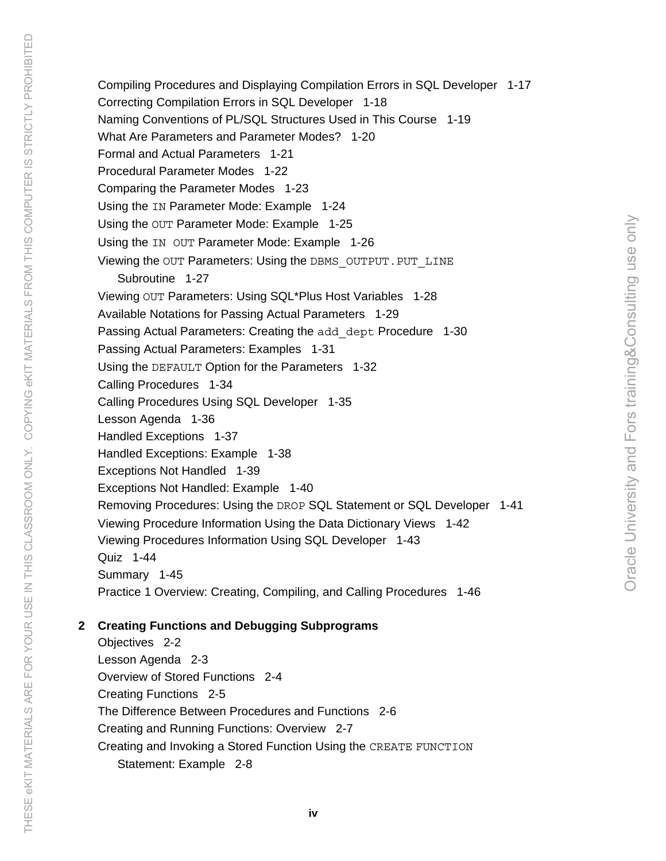Compiling Procedures and Displaying Compilation Errors in SQL Developer 1-17 Correcting Compilation Errors in SQL Developer 1-18 Naming Conventions of PL/SQL Structures Used in This Course 1-19 What Are Parameters and Parameter Modes? 1-20 Formal and Actual Parameters 1-21 Procedural Parameter Modes 1-22 Comparing the Parameter Modes 1-23 Using the IN Parameter Mode: Example 1-24 Using the OUT Parameter Mode: Example 1-25 Using the IN OUT Parameter Mode: Example 1-26 Viewing the OUT Parameters: Using the DBMS OUTPUT. PUT LINE Subroutine 1-27 Viewing OUT Parameters: Using SQL\*Plus Host Variables 1-28 Available Notations for Passing Actual Parameters 1-29 Passing Actual Parameters: Creating the add dept Procedure 1-30 Passing Actual Parameters: Examples 1-31 Using the DEFAULT Option for the Parameters 1-32 Calling Procedures 1-34 Calling Procedures Using SQL Developer 1-35 Lesson Agenda 1-36 Handled Exceptions 1-37 Handled Exceptions: Example 1-38 Exceptions Not Handled 1-39 Exceptions Not Handled: Example 1-40 Removing Procedures: Using the DROP SQL Statement or SQL Developer 1-41 Viewing Procedure Information Using the Data Dictionary Views 1-42 Viewing Procedures Information Using SQL Developer 1-43 Quiz 1-44 Summary 1-45 Practice 1 Overview: Creating, Compiling, and Calling Procedures 1-46

# **2 Creating Functions and Debugging Subprograms**

Objectives 2-2 Lesson Agenda 2-3 Overview of Stored Functions 2-4 Creating Functions 2-5 The Difference Between Procedures and Functions 2-6 Creating and Running Functions: Overview 2-7 Creating and Invoking a Stored Function Using the CREATE FUNCTION Statement: Example 2-8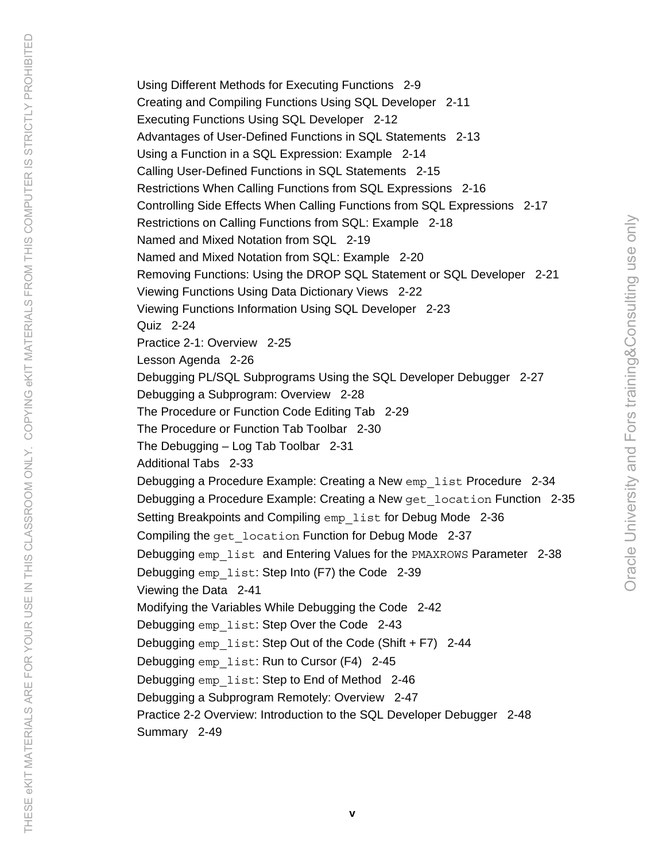Using Different Methods for Executing Functions 2-9 Creating and Compiling Functions Using SQL Developer 2-11 Executing Functions Using SQL Developer 2-12 Advantages of User-Defined Functions in SQL Statements 2-13 Using a Function in a SQL Expression: Example 2-14 Calling User-Defined Functions in SQL Statements 2-15 Restrictions When Calling Functions from SQL Expressions 2-16 Controlling Side Effects When Calling Functions from SQL Expressions 2-17 Restrictions on Calling Functions from SQL: Example 2-18 Named and Mixed Notation from SQL 2-19 Named and Mixed Notation from SQL: Example 2-20 Removing Functions: Using the DROP SQL Statement or SQL Developer 2-21 Viewing Functions Using Data Dictionary Views 2-22 Viewing Functions Information Using SQL Developer 2-23 Quiz 2-24 Practice 2-1: Overview 2-25 Lesson Agenda 2-26 Debugging PL/SQL Subprograms Using the SQL Developer Debugger 2-27 Debugging a Subprogram: Overview 2-28 The Procedure or Function Code Editing Tab 2-29 The Procedure or Function Tab Toolbar 2-30 The Debugging – Log Tab Toolbar 2-31 Additional Tabs 2-33 Debugging a Procedure Example: Creating a New emp list Procedure 2-34 Debugging a Procedure Example: Creating a New get\_location Function 2-35 Setting Breakpoints and Compiling emp list for Debug Mode 2-36 Compiling the get location Function for Debug Mode 2-37 Debugging emp\_list\_and Entering Values for the PMAXROWS Parameter 2-38 Debugging emp list: Step Into (F7) the Code 2-39 Viewing the Data 2-41 Modifying the Variables While Debugging the Code 2-42 Debugging emp list: Step Over the Code 2-43 Debugging emp list: Step Out of the Code (Shift + F7) 2-44 Debugging emp list: Run to Cursor (F4) 2-45 Debugging emp list: Step to End of Method 2-46 Debugging a Subprogram Remotely: Overview 2-47 Practice 2-2 Overview: Introduction to the SQL Developer Debugger 2-48 Summary 2-49

THESE eKIT MATERIALS ARE FOR YOUR USE IN THIS CLASSROOM ONLY. COPYING eKIT MATERIALS FROM THIS COMPUTER IS STRICTLY PROHIBITED THESE eKIT MATERIALS ARE FOR YOUR USE IN THIS CLASSROOM ONLY. COPYING eKIT MATERIALS FROM THIS COMPUTER IS STRICTLY PROHIBITED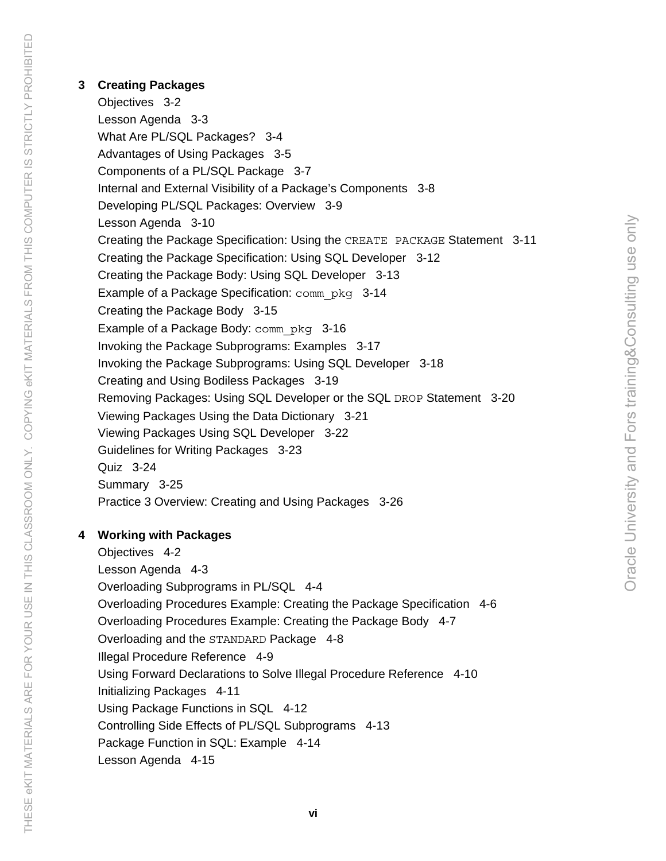#### **3 Creating Packages**

Objectives 3-2 Lesson Agenda 3-3 What Are PL/SQL Packages? 3-4 Advantages of Using Packages 3-5 Components of a PL/SQL Package 3-7 Internal and External Visibility of a Package's Components 3-8 Developing PL/SQL Packages: Overview 3-9 Lesson Agenda 3-10 Creating the Package Specification: Using the CREATE PACKAGE Statement 3-11 Creating the Package Specification: Using SQL Developer 3-12 Creating the Package Body: Using SQL Developer 3-13 Example of a Package Specification: comm\_pkg 3-14 Creating the Package Body 3-15 Example of a Package Body: comm\_pkg 3-16 Invoking the Package Subprograms: Examples 3-17 Invoking the Package Subprograms: Using SQL Developer 3-18 Creating and Using Bodiless Packages 3-19 Removing Packages: Using SQL Developer or the SQL DROP Statement 3-20 Viewing Packages Using the Data Dictionary 3-21 Viewing Packages Using SQL Developer 3-22 Guidelines for Writing Packages 3-23 Quiz 3-24 Summary 3-25 Practice 3 Overview: Creating and Using Packages 3-26

Oracle University and Fors training&Consulting use only

Oracle University and Fors training&Consulting use only

## **4 Working with Packages**

Objectives 4-2 Lesson Agenda 4-3 Overloading Subprograms in PL/SQL 4-4 Overloading Procedures Example: Creating the Package Specification 4-6 Overloading Procedures Example: Creating the Package Body 4-7 Overloading and the STANDARD Package 4-8 Illegal Procedure Reference 4-9 Using Forward Declarations to Solve Illegal Procedure Reference 4-10 Initializing Packages 4-11 Using Package Functions in SQL 4-12 Controlling Side Effects of PL/SQL Subprograms 4-13 Package Function in SQL: Example 4-14 Lesson Agenda 4-15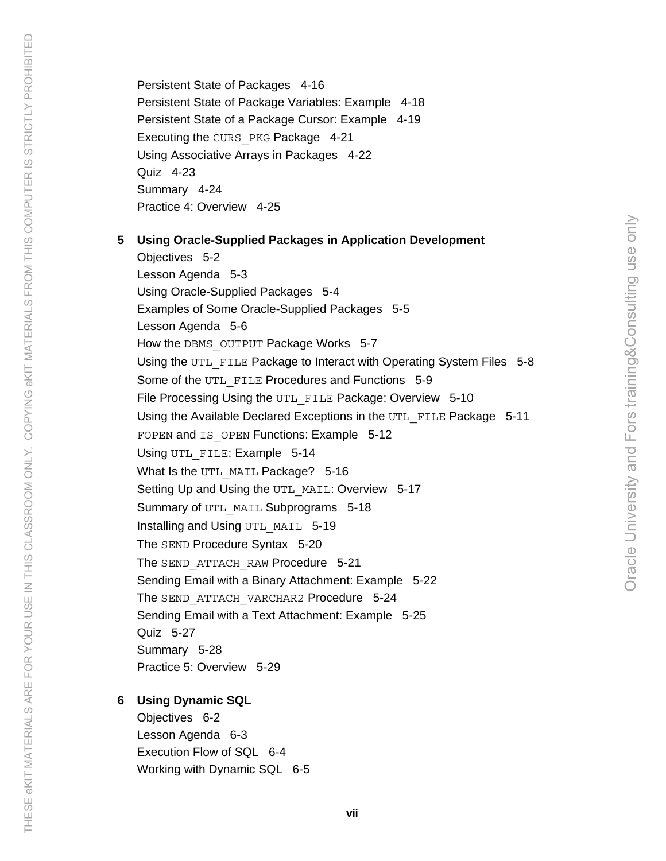Persistent State of Packages 4-16 Persistent State of Package Variables: Example 4-18 Persistent State of a Package Cursor: Example 4-19 Executing the CURS\_PKG Package 4-21 Using Associative Arrays in Packages 4-22 Quiz 4-23 Summary 4-24 Practice 4: Overview 4-25

#### **5 Using Oracle-Supplied Packages in Application Development**

Objectives 5-2 Lesson Agenda 5-3 Using Oracle-Supplied Packages 5-4 Examples of Some Oracle-Supplied Packages 5-5 Lesson Agenda 5-6 How the DBMS OUTPUT Package Works 5-7 Using the UTL FILE Package to Interact with Operating System Files 5-8 Some of the UTL FILE Procedures and Functions 5-9 File Processing Using the UTL FILE Package: Overview 5-10 Using the Available Declared Exceptions in the UTL\_FILE Package 5-11 FOPEN and IS OPEN Functions: Example 5-12 Using UTL FILE: Example 5-14 What Is the UTL MAIL Package? 5-16 Setting Up and Using the UTL MAIL: Overview 5-17 Summary of UTL MAIL Subprograms 5-18 Installing and Using UTL MAIL 5-19 The SEND Procedure Syntax 5-20 The SEND ATTACH RAW Procedure 5-21 Sending Email with a Binary Attachment: Example 5-22 The SEND ATTACH VARCHAR2 Procedure 5-24 Sending Email with a Text Attachment: Example 5-25 Quiz 5-27 Summary 5-28 Practice 5: Overview 5-29

Oracle University and Fors training&Consulting use only

Oracle University and Fors training&Consulting use only

### **6 Using Dynamic SQL**

Objectives 6-2 Lesson Agenda 6-3 Execution Flow of SQL 6-4 Working with Dynamic SQL 6-5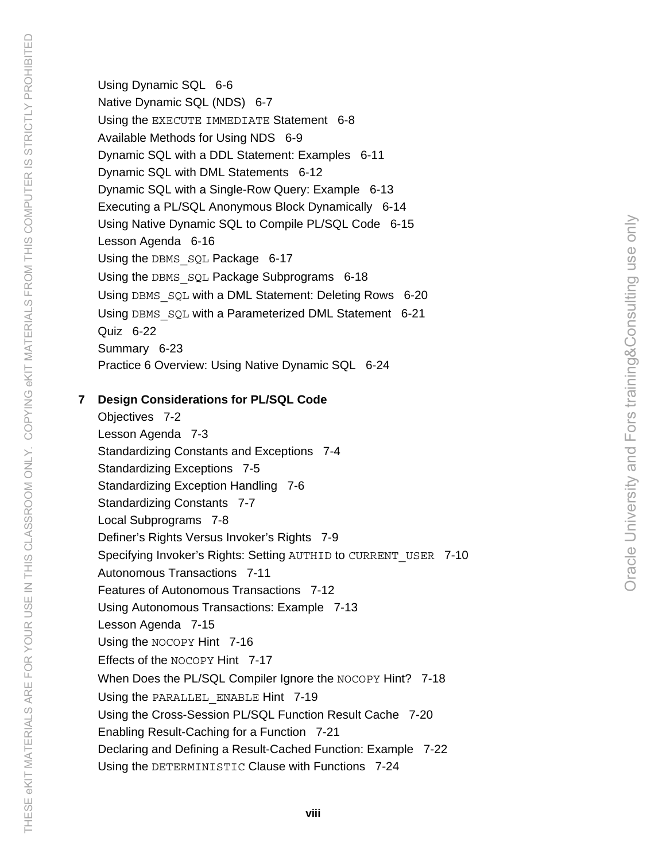Using Dynamic SQL 6-6 Native Dynamic SQL (NDS) 6-7 Using the EXECUTE IMMEDIATE Statement 6-8 Available Methods for Using NDS 6-9 Dynamic SQL with a DDL Statement: Examples 6-11 Dynamic SQL with DML Statements 6-12 Dynamic SQL with a Single-Row Query: Example 6-13 Executing a PL/SQL Anonymous Block Dynamically 6-14 Using Native Dynamic SQL to Compile PL/SQL Code 6-15 Lesson Agenda 6-16 Using the DBMS SQL Package 6-17 Using the DBMS SQL Package Subprograms 6-18 Using DBMS SQL with a DML Statement: Deleting Rows 6-20 Using DBMS SOL with a Parameterized DML Statement 6-21 Quiz 6-22 Summary 6-23 Practice 6 Overview: Using Native Dynamic SQL 6-24

### **7 Design Considerations for PL/SQL Code**

Objectives 7-2 Lesson Agenda 7-3 Standardizing Constants and Exceptions 7-4 Standardizing Exceptions 7-5 Standardizing Exception Handling 7-6 Standardizing Constants 7-7 Local Subprograms 7-8 Definer's Rights Versus Invoker's Rights 7-9 Specifying Invoker's Rights: Setting AUTHID to CURRENT USER 7-10 Autonomous Transactions 7-11 Features of Autonomous Transactions 7-12 Using Autonomous Transactions: Example 7-13 Lesson Agenda 7-15 Using the NOCOPY Hint 7-16 Effects of the NOCOPY Hint 7-17 When Does the PL/SQL Compiler Ignore the NOCOPY Hint? 7-18 Using the PARALLEL ENABLE Hint 7-19 Using the Cross-Session PL/SQL Function Result Cache 7-20 Enabling Result-Caching for a Function 7-21 Declaring and Defining a Result-Cached Function: Example 7-22 Using the DETERMINISTIC Clause with Functions 7-24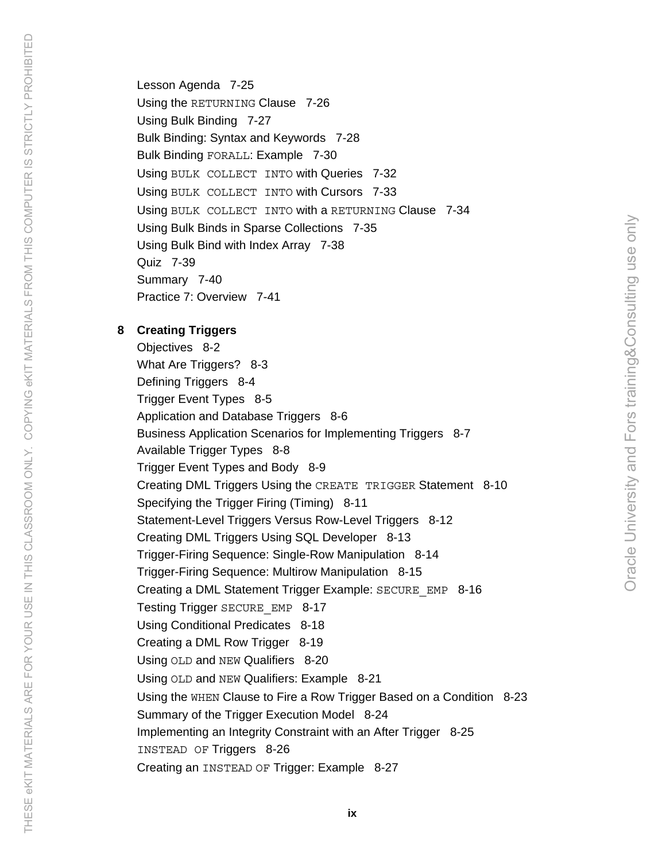Lesson Agenda 7-25 Using the RETURNING Clause 7-26 Using Bulk Binding 7-27 Bulk Binding: Syntax and Keywords 7-28 Bulk Binding FORALL: Example 7-30 Using BULK COLLECT INTO with Queries 7-32 Using BULK COLLECT INTO with Cursors 7-33 Using BULK COLLECT INTO with a RETURNING Clause 7-34 Using Bulk Binds in Sparse Collections 7-35 Using Bulk Bind with Index Array 7-38 Quiz 7-39 Summary 7-40 Practice 7: Overview 7-41

### **8 Creating Triggers**

THESE eKIT MATERIALS ARE FOR YOUR USE IN THIS CLASSROOM ONLY. COPYING eKIT MATERIALS FROM THIS COMPUTER IS STRICTLY PROHIBITED THESE eKIT MATERIALS ARE FOR YOUR USE IN THIS CLASSROOM ONLY. COPYING eKIT MATERIALS FROM THIS COMPUTER IS STRICTLY PROHIBITED

Objectives 8-2 What Are Triggers? 8-3 Defining Triggers 8-4 Trigger Event Types 8-5 Application and Database Triggers 8-6 Business Application Scenarios for Implementing Triggers 8-7 Available Trigger Types 8-8 Trigger Event Types and Body 8-9 Creating DML Triggers Using the CREATE TRIGGER Statement 8-10 Specifying the Trigger Firing (Timing) 8-11 Statement-Level Triggers Versus Row-Level Triggers 8-12 Creating DML Triggers Using SQL Developer 8-13 Trigger-Firing Sequence: Single-Row Manipulation 8-14 Trigger-Firing Sequence: Multirow Manipulation 8-15 Creating a DML Statement Trigger Example: SECURE\_EMP 8-16 Testing Trigger SECURE\_EMP 8-17 Using Conditional Predicates 8-18 Creating a DML Row Trigger 8-19 Using OLD and NEW Qualifiers 8-20 Using OLD and NEW Qualifiers: Example 8-21 Using the WHEN Clause to Fire a Row Trigger Based on a Condition 8-23 Summary of the Trigger Execution Model 8-24 Implementing an Integrity Constraint with an After Trigger 8-25 INSTEAD OF Triggers 8-26 Creating an INSTEAD OF Trigger: Example 8-27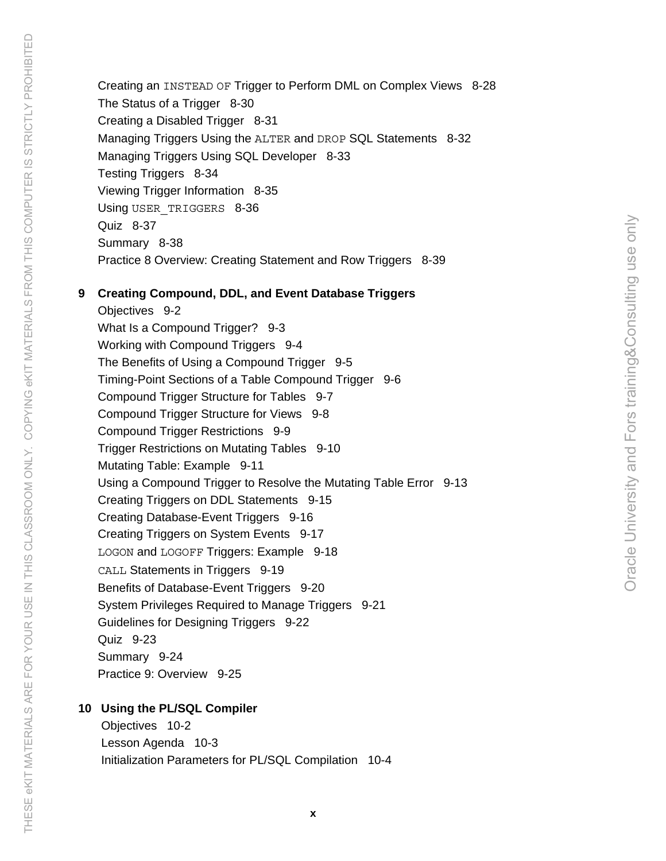Creating an INSTEAD OF Trigger to Perform DML on Complex Views 8-28 The Status of a Trigger 8-30 Creating a Disabled Trigger 8-31 Managing Triggers Using the ALTER and DROP SQL Statements 8-32 Managing Triggers Using SQL Developer 8-33 Testing Triggers 8-34 Viewing Trigger Information 8-35 Using USER TRIGGERS 8-36 Quiz 8-37 Summary 8-38 Practice 8 Overview: Creating Statement and Row Triggers 8-39

#### **9 Creating Compound, DDL, and Event Database Triggers**

Objectives 9-2 What Is a Compound Trigger? 9-3 Working with Compound Triggers 9-4 The Benefits of Using a Compound Trigger 9-5 Timing-Point Sections of a Table Compound Trigger 9-6 Compound Trigger Structure for Tables 9-7 Compound Trigger Structure for Views 9-8 Compound Trigger Restrictions 9-9 Trigger Restrictions on Mutating Tables 9-10 Mutating Table: Example 9-11 Using a Compound Trigger to Resolve the Mutating Table Error 9-13 Creating Triggers on DDL Statements 9-15 Creating Database-Event Triggers 9-16 Creating Triggers on System Events 9-17 LOGON and LOGOFF Triggers: Example 9-18 CALL Statements in Triggers 9-19 Benefits of Database-Event Triggers 9-20 System Privileges Required to Manage Triggers 9-21 Guidelines for Designing Triggers 9-22 Quiz 9-23 Summary 9-24 Practice 9: Overview 9-25

#### **10 Using the PL/SQL Compiler**

 Objectives 10-2 Lesson Agenda 10-3 Initialization Parameters for PL/SQL Compilation 10-4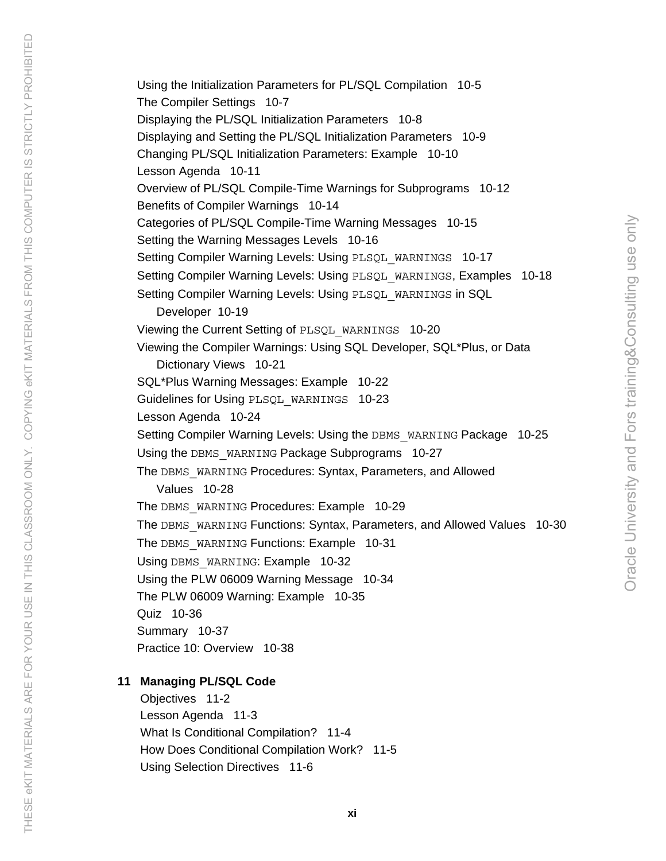Using the Initialization Parameters for PL/SQL Compilation 10-5 The Compiler Settings 10-7 Displaying the PL/SQL Initialization Parameters 10-8 Displaying and Setting the PL/SQL Initialization Parameters 10-9 Changing PL/SQL Initialization Parameters: Example 10-10 Lesson Agenda 10-11 Overview of PL/SQL Compile-Time Warnings for Subprograms 10-12 Benefits of Compiler Warnings 10-14 Categories of PL/SQL Compile-Time Warning Messages 10-15 Setting the Warning Messages Levels 10-16 Setting Compiler Warning Levels: Using PLSQL\_WARNINGS 10-17 Setting Compiler Warning Levels: Using PLSQL\_WARNINGS, Examples 10-18 Setting Compiler Warning Levels: Using PLSQL\_WARNINGS in SQL Developer 10-19 Viewing the Current Setting of PLSQL\_WARNINGS 10-20 Viewing the Compiler Warnings: Using SQL Developer, SQL\*Plus, or Data Dictionary Views 10-21 SQL\*Plus Warning Messages: Example 10-22 Guidelines for Using PLSQL\_WARNINGS 10-23 Lesson Agenda 10-24 Setting Compiler Warning Levels: Using the DBMS WARNING Package 10-25 Using the DBMS WARNING Package Subprograms 10-27 The DBMS WARNING Procedures: Syntax, Parameters, and Allowed Values 10-28 The DBMS WARNING Procedures: Example 10-29 The DBMS WARNING Functions: Syntax, Parameters, and Allowed Values 10-30 The DBMS WARNING Functions: Example 10-31 Using DBMS WARNING: Example 10-32 Using the PLW 06009 Warning Message 10-34 The PLW 06009 Warning: Example 10-35 Quiz 10-36 Summary 10-37 Practice 10: Overview 10-38

## **11 Managing PL/SQL Code**

THESE eKIT MATERIALS ARE FOR YOUR USE IN THIS CLASSROOM ONLY. COPYING eKIT MATERIALS FROM THIS COMPUTER IS STRICTLY PROHIBITED THESE eKIT MATERIALS ARE FOR YOUR USE IN THIS CLASSROOM ONLY. COPYING eKIT MATERIALS FROM THIS COMPUTER IS STRICTLY PROHIBITED

 Objectives 11-2 Lesson Agenda 11-3 What Is Conditional Compilation? 11-4 How Does Conditional Compilation Work? 11-5 Using Selection Directives 11-6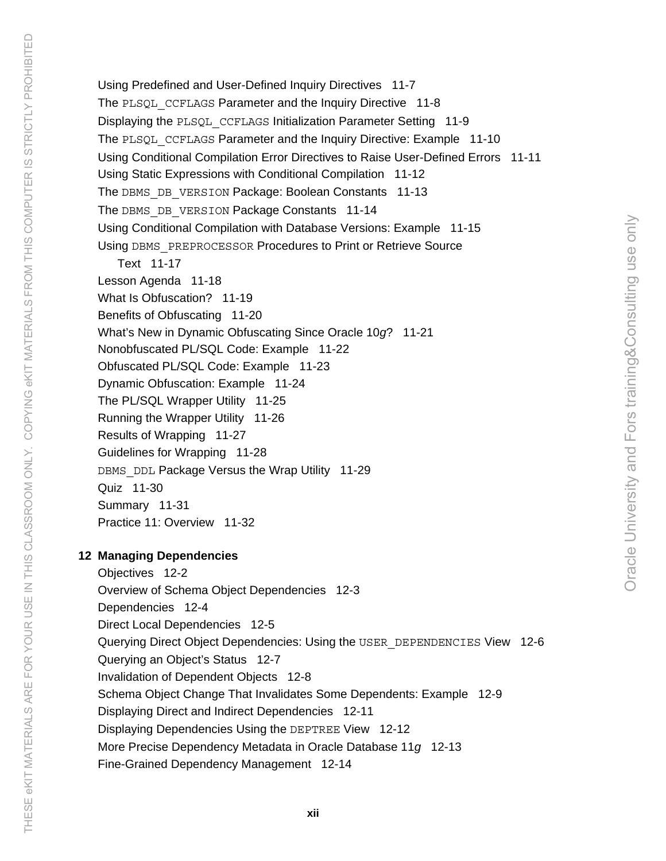Using Predefined and User-Defined Inquiry Directives 11-7 The PLSQL CCFLAGS Parameter and the Inquiry Directive 11-8 Displaying the PLSQL\_CCFLAGS Initialization Parameter Setting 11-9 The PLSQL CCFLAGS Parameter and the Inquiry Directive: Example 11-10 Using Conditional Compilation Error Directives to Raise User-Defined Errors 11-11 Using Static Expressions with Conditional Compilation 11-12 The DBMS DB VERSION Package: Boolean Constants 11-13 The DBMS DB VERSION Package Constants 11-14 Using Conditional Compilation with Database Versions: Example 11-15 Using DBMS PREPROCESSOR Procedures to Print or Retrieve Source Text 11-17 Lesson Agenda 11-18 What Is Obfuscation? 11-19 Benefits of Obfuscating 11-20 What's New in Dynamic Obfuscating Since Oracle 10*g*? 11-21 Nonobfuscated PL/SQL Code: Example 11-22 Obfuscated PL/SQL Code: Example 11-23 Dynamic Obfuscation: Example 11-24

Oracle University and Fors training&Consulting use only

Oracle University and Fors training&Consulting use only

The PL/SQL Wrapper Utility 11-25

Running the Wrapper Utility 11-26

Results of Wrapping 11-27

Guidelines for Wrapping 11-28 DBMS DDL Package Versus the Wrap Utility 11-29

Quiz 11-30

Summary 11-31

Practice 11: Overview 11-32

# **12 Managing Dependencies**

Objectives 12-2 Overview of Schema Object Dependencies 12-3 Dependencies 12-4 Direct Local Dependencies 12-5 Querying Direct Object Dependencies: Using the USER\_DEPENDENCIES View 12-6 Querying an Object's Status 12-7 Invalidation of Dependent Objects 12-8 Schema Object Change That Invalidates Some Dependents: Example 12-9 Displaying Direct and Indirect Dependencies 12-11 Displaying Dependencies Using the DEPTREE View 12-12 More Precise Dependency Metadata in Oracle Database 11*g* 12-13 Fine-Grained Dependency Management 12-14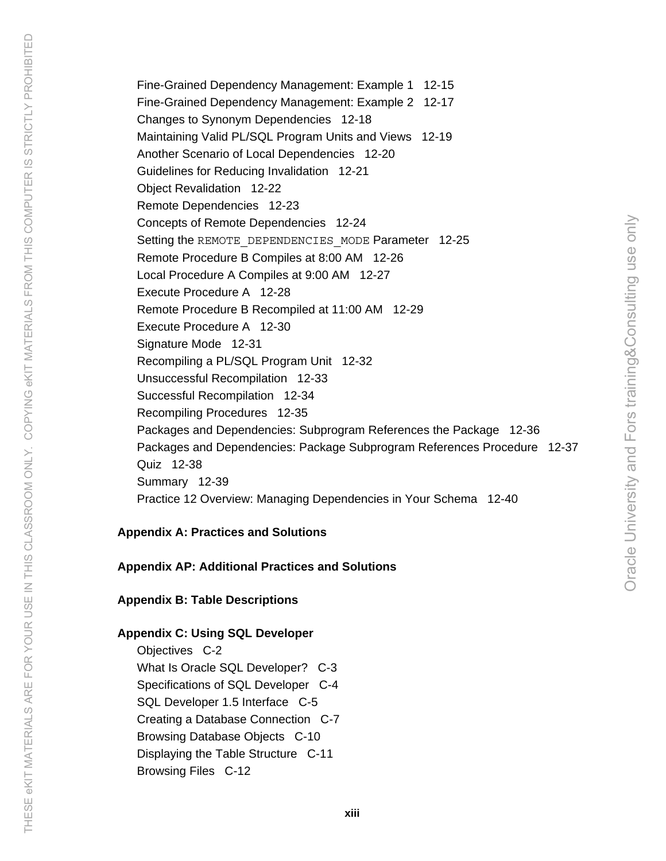Fine-Grained Dependency Management: Example 1 12-15 Fine-Grained Dependency Management: Example 2 12-17 Changes to Synonym Dependencies 12-18 Maintaining Valid PL/SQL Program Units and Views 12-19 Another Scenario of Local Dependencies 12-20 Guidelines for Reducing Invalidation 12-21 Object Revalidation 12-22 Remote Dependencies 12-23 Concepts of Remote Dependencies 12-24 Setting the REMOTE DEPENDENCIES MODE Parameter 12-25 Remote Procedure B Compiles at 8:00 AM 12-26 Local Procedure A Compiles at 9:00 AM 12-27 Execute Procedure A 12-28 Remote Procedure B Recompiled at 11:00 AM 12-29 Execute Procedure A 12-30 Signature Mode 12-31 Recompiling a PL/SQL Program Unit 12-32 Unsuccessful Recompilation 12-33 Successful Recompilation 12-34 Recompiling Procedures 12-35 Packages and Dependencies: Subprogram References the Package 12-36 Packages and Dependencies: Package Subprogram References Procedure 12-37 Quiz 12-38 Summary 12-39 Practice 12 Overview: Managing Dependencies in Your Schema 12-40

### **Appendix A: Practices and Solutions**

### **Appendix AP: Additional Practices and Solutions**

### **Appendix B: Table Descriptions**

# **Appendix C: Using SQL Developer**

Objectives C-2 What Is Oracle SQL Developer? C-3 Specifications of SQL Developer C-4 SQL Developer 1.5 Interface C-5 Creating a Database Connection C-7 Browsing Database Objects C-10 Displaying the Table Structure C-11 Browsing Files C-12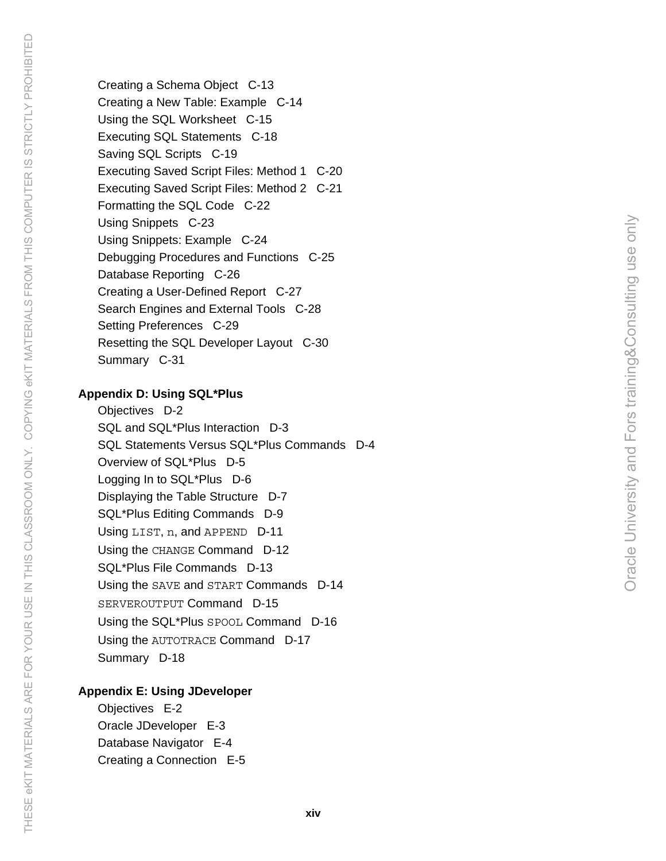Creating a Schema Object C-13 Creating a New Table: Example C-14 Using the SQL Worksheet C-15 Executing SQL Statements C-18 Saving SQL Scripts C-19 Executing Saved Script Files: Method 1 C-20 Executing Saved Script Files: Method 2 C-21 Formatting the SQL Code C-22 Using Snippets C-23 Using Snippets: Example C-24 Debugging Procedures and Functions C-25 Database Reporting C-26 Creating a User-Defined Report C-27 Search Engines and External Tools C-28 Setting Preferences C-29 Resetting the SQL Developer Layout C-30 Summary C-31

### **Appendix D: Using SQL\*Plus**

Objectives D-2 SQL and SQL\*Plus Interaction D-3 SQL Statements Versus SQL\*Plus Commands D-4 Overview of SQL\*Plus D-5 Logging In to SQL\*Plus D-6 Displaying the Table Structure D-7 SQL\*Plus Editing Commands D-9 Using LIST, n, and APPEND D-11 Using the CHANGE Command D-12 SQL\*Plus File Commands D-13 Using the SAVE and START Commands D-14 SERVEROUTPUT Command D-15 Using the SQL\*Plus SPOOL Command D-16 Using the AUTOTRACE Command D-17 Summary D-18

### **Appendix E: Using JDeveloper**

Objectives E-2 Oracle JDeveloper E-3 Database Navigator E-4 Creating a Connection E-5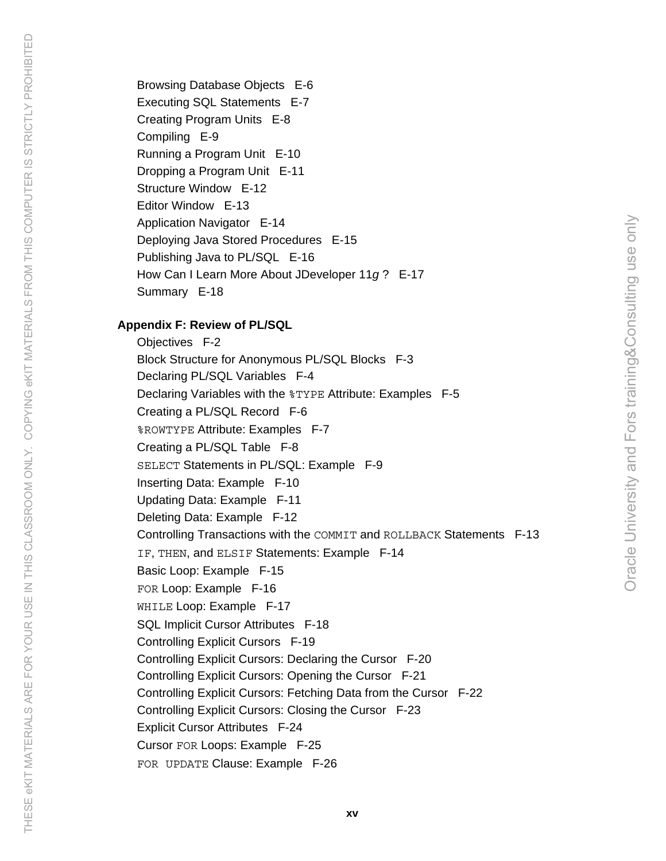Browsing Database Objects E-6 Executing SQL Statements E-7 Creating Program Units E-8 Compiling E-9 Running a Program Unit E-10 Dropping a Program Unit E-11 Structure Window E-12 Editor Window E-13 Application Navigator E-14 Deploying Java Stored Procedures E-15 Publishing Java to PL/SQL E-16 How Can I Learn More About JDeveloper 11*g* ? E-17 Summary E-18 **Appendix F: Review of PL/SQL** 

THESE eKIT MATERIALS ARE FOR YOUR USE IN THIS CLASSROOM ONLY. COPYING eKIT MATERIALS FROM THIS COMPUTER IS STRICTLY PROHIBITED THESE eKIT MATERIALS ARE FOR YOUR USE IN THIS CLASSROOM ONLY. COPYING eKIT MATERIALS FROM THIS COMPUTER IS STRICTLY PROHIBITED

Objectives F-2 Block Structure for Anonymous PL/SQL Blocks F-3 Declaring PL/SQL Variables F-4 Declaring Variables with the %TYPE Attribute: Examples F-5 Creating a PL/SQL Record F-6 %ROWTYPE Attribute: Examples F-7 Creating a PL/SQL Table F-8 SELECT Statements in PL/SQL: Example F-9 Inserting Data: Example F-10 Updating Data: Example F-11 Deleting Data: Example F-12 Controlling Transactions with the COMMIT and ROLLBACK Statements F-13 IF, THEN, and ELSIF Statements: Example F-14 Basic Loop: Example F-15 FOR Loop: Example F-16 WHILE Loop: Example F-17 SQL Implicit Cursor Attributes F-18 Controlling Explicit Cursors F-19 Controlling Explicit Cursors: Declaring the Cursor F-20 Controlling Explicit Cursors: Opening the Cursor F-21 Controlling Explicit Cursors: Fetching Data from the Cursor F-22 Controlling Explicit Cursors: Closing the Cursor F-23 Explicit Cursor Attributes F-24 Cursor FOR Loops: Example F-25 FOR UPDATE Clause: Example F-26